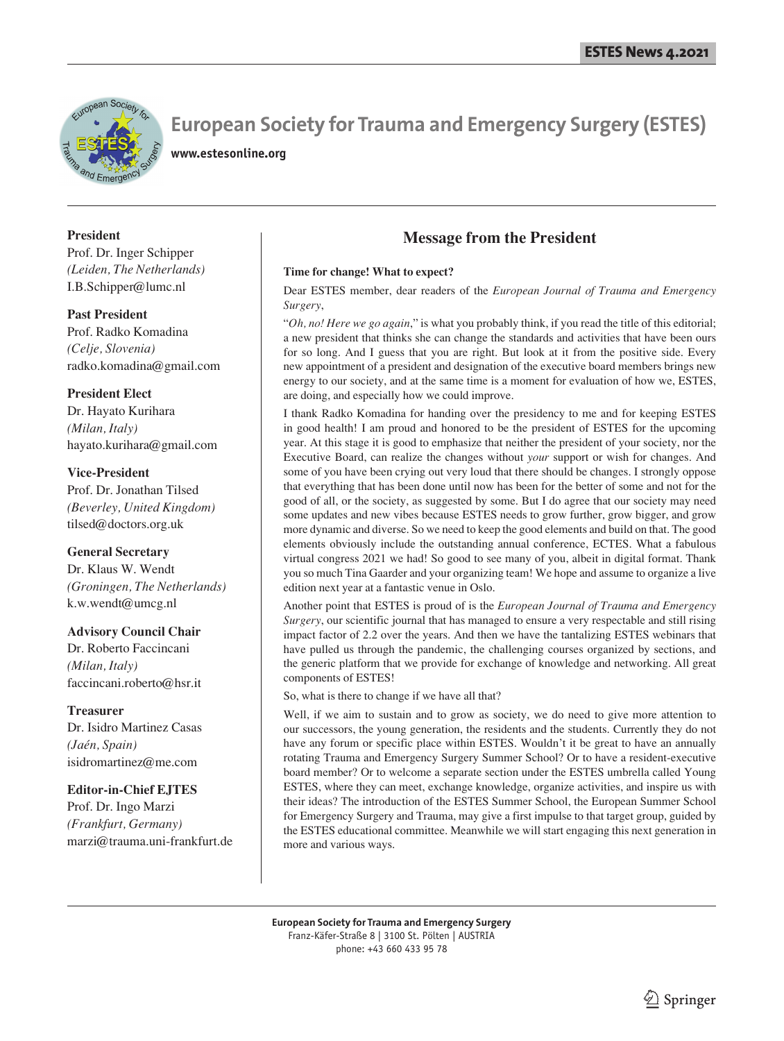

**www.estesonline.org**

#### **President**

Prof. Dr. Inger Schipper *(Leiden, The Netherlands)* I.B.Schipper@lumc.nl

#### **Past President**

Prof. Radko Komadina *(Celje, Slovenia)* radko.komadina@gmail.com

#### **President Elect**

Dr. Hayato Kurihara *(Milan, Italy)* hayato.kurihara@gmail.com

#### **Vice-President**

Prof. Dr. Jonathan Tilsed *(Beverley, United Kingdom)* tilsed@doctors.org.uk

#### **General Secretary**

Dr. Klaus W. Wendt *(Groningen, The Netherlands)* k.w.wendt@umcg.nl

#### **Advisory Council Chair**

Dr. Roberto Faccincani *(Milan, Italy)* faccincani.roberto@hsr.it

#### **Treasurer**

Dr. Isidro Martinez Casas *(Jaén, Spain)* isidromartinez@me.com

#### **Editor-in-Chief EJTES**

Prof. Dr. Ingo Marzi *(Frankfurt, Germany)* marzi@trauma.uni-frankfurt.de

## **Message from the President**

#### **Time for change! What to expect?**

Dear ESTES member, dear readers of the *European Journal of Trauma and Emergency Surgery*,

"*Oh, no! Here we go again*," is what you probably think, if you read the title of this editorial; a new president that thinks she can change the standards and activities that have been ours for so long. And I guess that you are right. But look at it from the positive side. Every new appointment of a president and designation of the executive board members brings new energy to our society, and at the same time is a moment for evaluation of how we, ESTES, are doing, and especially how we could improve.

I thank Radko Komadina for handing over the presidency to me and for keeping ESTES in good health! I am proud and honored to be the president of ESTES for the upcoming year. At this stage it is good to emphasize that neither the president of your society, nor the Executive Board, can realize the changes without *your* support or wish for changes. And some of you have been crying out very loud that there should be changes. I strongly oppose that everything that has been done until now has been for the better of some and not for the good of all, or the society, as suggested by some. But I do agree that our society may need some updates and new vibes because ESTES needs to grow further, grow bigger, and grow more dynamic and diverse. So we need to keep the good elements and build on that. The good elements obviously include the outstanding annual conference, ECTES. What a fabulous virtual congress 2021 we had! So good to see many of you, albeit in digital format. Thank you so much Tina Gaarder and your organizing team! We hope and assume to organize a live edition next year at a fantastic venue in Oslo.

Another point that ESTES is proud of is the *European Journal of Trauma and Emergency Surgery*, our scientific journal that has managed to ensure a very respectable and still rising impact factor of 2.2 over the years. And then we have the tantalizing ESTES webinars that have pulled us through the pandemic, the challenging courses organized by sections, and the generic platform that we provide for exchange of knowledge and networking. All great components of ESTES!

So, what is there to change if we have all that?

Well, if we aim to sustain and to grow as society, we do need to give more attention to our successors, the young generation, the residents and the students. Currently they do not have any forum or specific place within ESTES. Wouldn't it be great to have an annually rotating Trauma and Emergency Surgery Summer School? Or to have a resident-executive board member? Or to welcome a separate section under the ESTES umbrella called Young ESTES, where they can meet, exchange knowledge, organize activities, and inspire us with their ideas? The introduction of the ESTES Summer School, the European Summer School for Emergency Surgery and Trauma, may give a first impulse to that target group, guided by the ESTES educational committee. Meanwhile we will start engaging this next generation in more and various ways.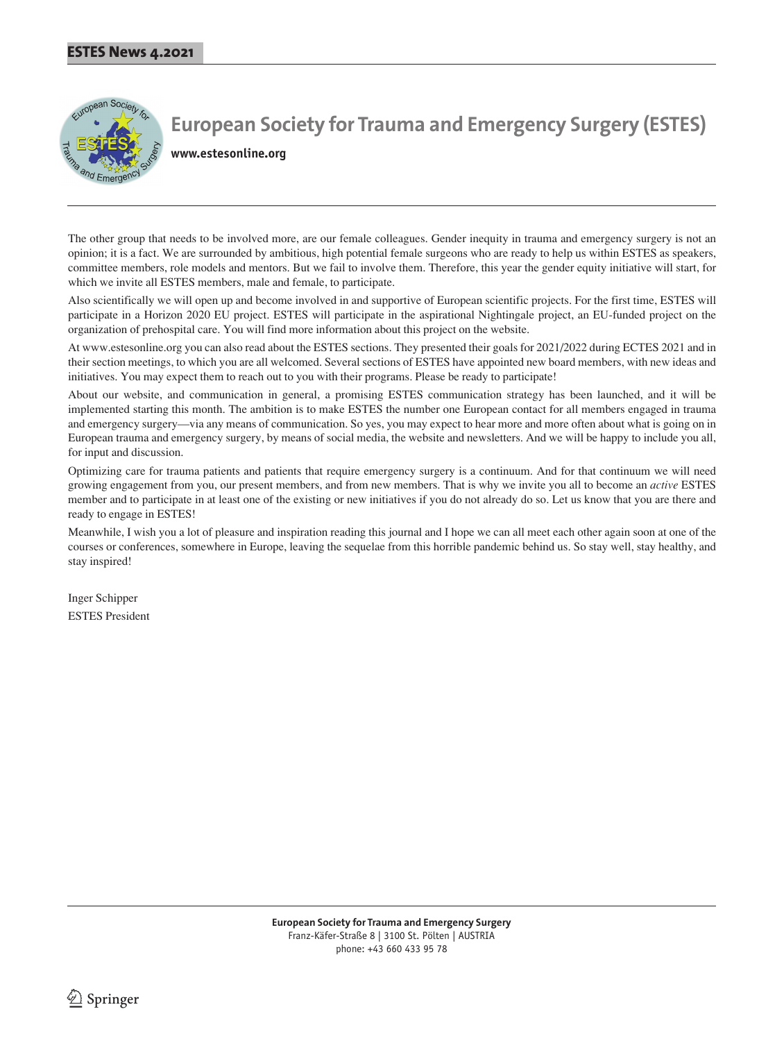

**www.estesonline.org**

The other group that needs to be involved more, are our female colleagues. Gender inequity in trauma and emergency surgery is not an opinion; it is a fact. We are surrounded by ambitious, high potential female surgeons who are ready to help us within ESTES as speakers, committee members, role models and mentors. But we fail to involve them. Therefore, this year the gender equity initiative will start, for which we invite all ESTES members, male and female, to participate.

Also scientifically we will open up and become involved in and supportive of European scientific projects. For the first time, ESTES will participate in a Horizon 2020 EU project. ESTES will participate in the aspirational Nightingale project, an EU-funded project on the organization of prehospital care. You will find more information about this project on the website.

At www.estesonline.org you can also read about the ESTES sections. They presented their goals for 2021/2022 during ECTES 2021 and in their section meetings, to which you are all welcomed. Several sections of ESTES have appointed new board members, with new ideas and initiatives. You may expect them to reach out to you with their programs. Please be ready to participate!

About our website, and communication in general, a promising ESTES communication strategy has been launched, and it will be implemented starting this month. The ambition is to make ESTES the number one European contact for all members engaged in trauma and emergency surgery—via any means of communication. So yes, you may expect to hear more and more often about what is going on in European trauma and emergency surgery, by means of social media, the website and newsletters. And we will be happy to include you all, for input and discussion.

Optimizing care for trauma patients and patients that require emergency surgery is a continuum. And for that continuum we will need growing engagement from you, our present members, and from new members. That is why we invite you all to become an *active* ESTES member and to participate in at least one of the existing or new initiatives if you do not already do so. Let us know that you are there and ready to engage in ESTES!

Meanwhile, I wish you a lot of pleasure and inspiration reading this journal and I hope we can all meet each other again soon at one of the courses or conferences, somewhere in Europe, leaving the sequelae from this horrible pandemic behind us. So stay well, stay healthy, and stay inspired!

Inger Schipper ESTES President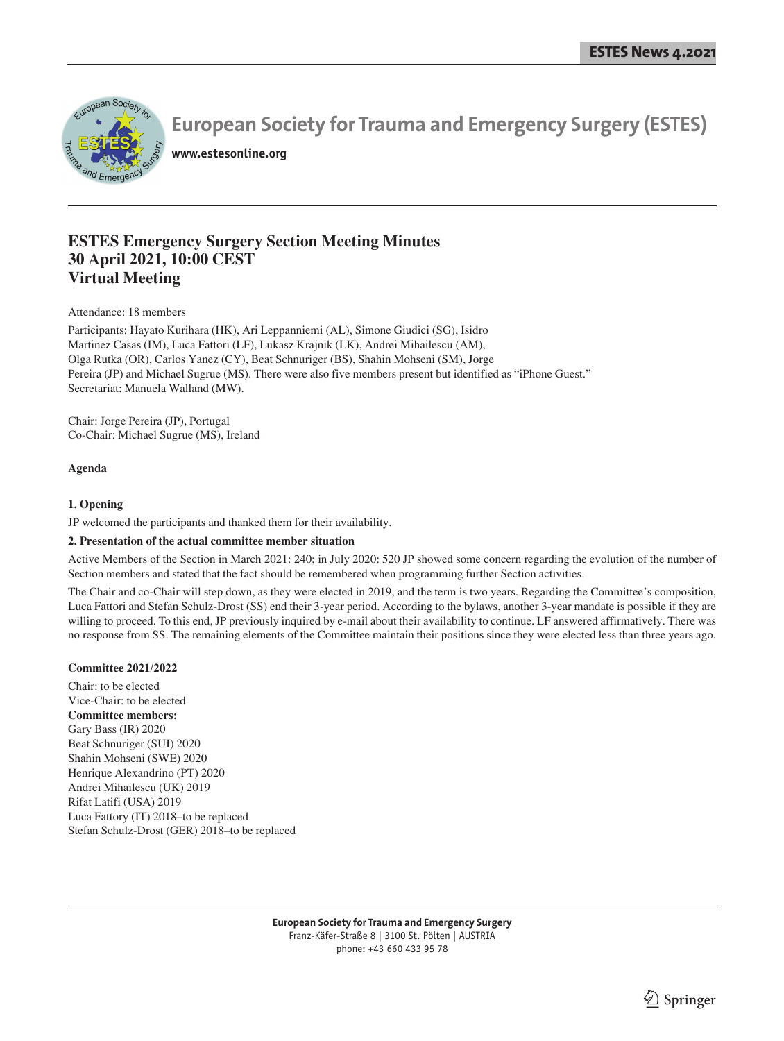

**www.estesonline.org**

## **ESTES Emergency Surgery Section Meeting Minutes 30 April 2021, 10:00 CEST Virtual Meeting**

Attendance: 18 members

Participants: Hayato Kurihara (HK), Ari Leppanniemi (AL), Simone Giudici (SG), Isidro Martinez Casas (IM), Luca Fattori (LF), Lukasz Krajnik (LK), Andrei Mihailescu (AM), Olga Rutka (OR), Carlos Yanez (CY), Beat Schnuriger (BS), Shahin Mohseni (SM), Jorge Pereira (JP) and Michael Sugrue (MS). There were also five members present but identified as "iPhone Guest." Secretariat: Manuela Walland (MW).

Chair: Jorge Pereira (JP), Portugal Co-Chair: Michael Sugrue (MS), Ireland

#### **Agenda**

#### **1. Opening**

JP welcomed the participants and thanked them for their availability.

#### **2. Presentation of the actual committee member situation**

Active Members of the Section in March 2021: 240; in July 2020: 520 JP showed some concern regarding the evolution of the number of Section members and stated that the fact should be remembered when programming further Section activities.

The Chair and co-Chair will step down, as they were elected in 2019, and the term is two years. Regarding the Committee's composition, Luca Fattori and Stefan Schulz-Drost (SS) end their 3-year period. According to the bylaws, another 3-year mandate is possible if they are willing to proceed. To this end, JP previously inquired by e-mail about their availability to continue. LF answered affirmatively. There was no response from SS. The remaining elements of the Committee maintain their positions since they were elected less than three years ago.

#### **Committee 2021/2022**

Chair: to be elected Vice-Chair: to be elected **Committee members:** Gary Bass (IR) 2020 Beat Schnuriger (SUI) 2020 Shahin Mohseni (SWE) 2020 Henrique Alexandrino (PT) 2020 Andrei Mihailescu (UK) 2019 Rifat Latifi (USA) 2019 Luca Fattory (IT) 2018–to be replaced Stefan Schulz-Drost (GER) 2018–to be replaced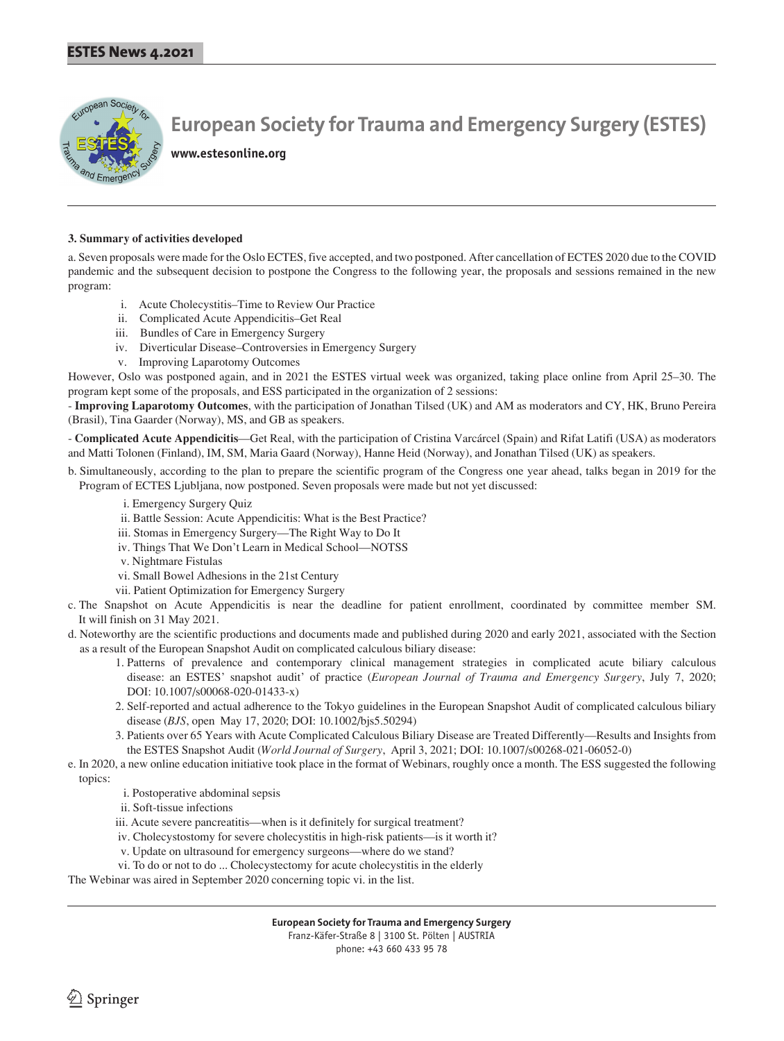

**www.estesonline.org**

#### **3. Summary of activities developed**

a. Seven proposals were made for the Oslo ECTES, five accepted, and two postponed. After cancellation of ECTES 2020 due to the COVID pandemic and the subsequent decision to postpone the Congress to the following year, the proposals and sessions remained in the new program:

- i. Acute Cholecystitis–Time to Review Our Practice
- ii. Complicated Acute Appendicitis–Get Real
- iii. Bundles of Care in Emergency Surgery
- iv. Diverticular Disease–Controversies in Emergency Surgery
- v. Improving Laparotomy Outcomes

However, Oslo was postponed again, and in 2021 the ESTES virtual week was organized, taking place online from April 25–30. The program kept some of the proposals, and ESS participated in the organization of 2 sessions:

- **Improving Laparotomy Outcomes**, with the participation of Jonathan Tilsed (UK) and AM as moderators and CY, HK, Bruno Pereira (Brasil), Tina Gaarder (Norway), MS, and GB as speakers.

- **Complicated Acute Appendicitis**—Get Real, with the participation of Cristina Varcárcel (Spain) and Rifat Latifi (USA) as moderators and Matti Tolonen (Finland), IM, SM, Maria Gaard (Norway), Hanne Heid (Norway), and Jonathan Tilsed (UK) as speakers.

b. Simultaneously, according to the plan to prepare the scientific program of the Congress one year ahead, talks began in 2019 for the Program of ECTES Ljubljana, now postponed. Seven proposals were made but not yet discussed:

- i. Emergency Surgery Quiz
- ii. Battle Session: Acute Appendicitis: What is the Best Practice?
- iii. Stomas in Emergency Surgery—The Right Way to Do It
- iv. Things That We Don't Learn in Medical School—NOTSS
- v. Nightmare Fistulas
- vi. Small Bowel Adhesions in the 21st Century
- vii. Patient Optimization for Emergency Surgery

c. The Snapshot on Acute Appendicitis is near the deadline for patient enrollment, coordinated by committee member SM. It will finish on 31 May 2021.

- d. Noteworthy are the scientific productions and documents made and published during 2020 and early 2021, associated with the Section as a result of the European Snapshot Audit on complicated calculous biliary disease:
	- 1. Patterns of prevalence and contemporary clinical management strategies in complicated acute biliary calculous disease: an ESTES' snapshot audit' of practice (*European Journal of Trauma and Emergency Surgery*, July 7, 2020; DOI: 10.1007/s00068-020-01433-x)
	- 2. Self-reported and actual adherence to the Tokyo guidelines in the European Snapshot Audit of complicated calculous biliary disease (*BJS*, open May 17, 2020; DOI: 10.1002/bjs5.50294)
	- 3. Patients over 65 Years with Acute Complicated Calculous Biliary Disease are Treated Differently—Results and Insights from the ESTES Snapshot Audit (*World Journal of Surgery*, April 3, 2021; DOI: 10.1007/s00268-021-06052-0)
- e. In 2020, a new online education initiative took place in the format of Webinars, roughly once a month. The ESS suggested the following topics:
	- i. Postoperative abdominal sepsis
	- ii. Soft-tissue infections
	- iii. Acute severe pancreatitis—when is it definitely for surgical treatment?
	- iv. Cholecystostomy for severe cholecystitis in high-risk patients—is it worth it?
	- v. Update on ultrasound for emergency surgeons—where do we stand?
	- vi. To do or not to do ... Cholecystectomy for acute cholecystitis in the elderly

The Webinar was aired in September 2020 concerning topic vi. in the list.

phone: +43 660 433 95 78

 $\textcircled{2}$  Springer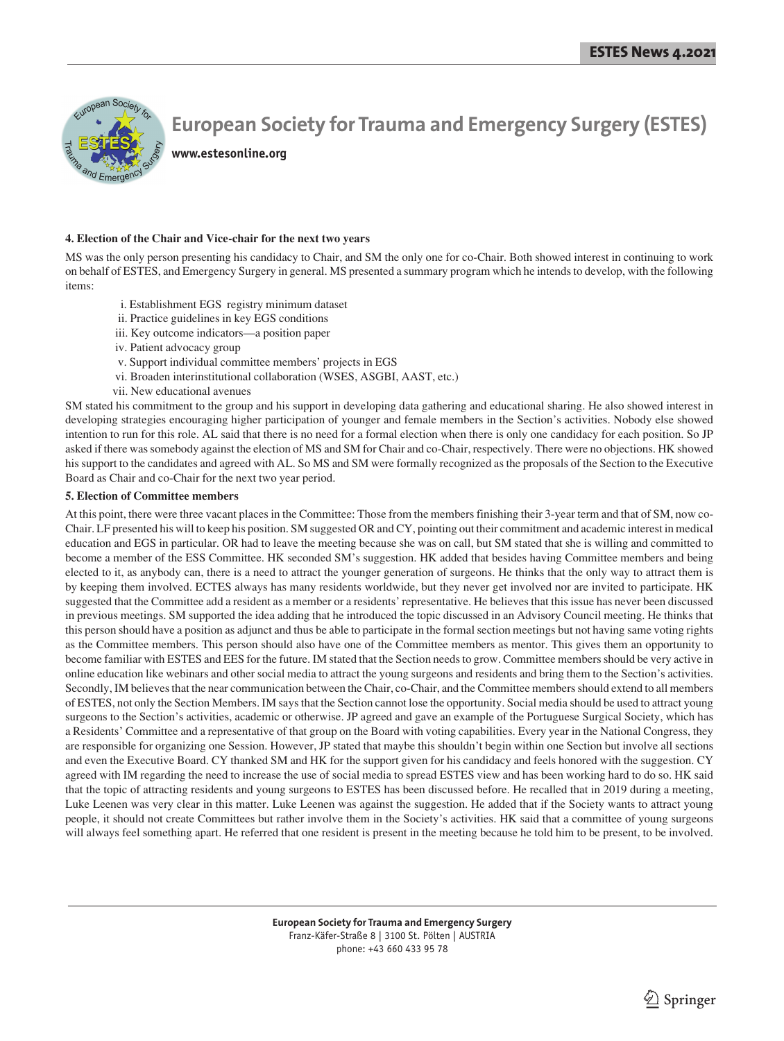

**www.estesonline.org**

#### **4. Election of the Chair and Vice-chair for the next two years**

MS was the only person presenting his candidacy to Chair, and SM the only one for co-Chair. Both showed interest in continuing to work on behalf of ESTES, and Emergency Surgery in general. MS presented a summary program which he intends to develop, with the following items:

- i. Establishment EGS registry minimum dataset
- ii. Practice guidelines in key EGS conditions
- iii. Key outcome indicators—a position paper
- iv. Patient advocacy group
- v. Support individual committee members' projects in EGS
- vi. Broaden interinstitutional collaboration (WSES, ASGBI, AAST, etc.)
- vii. New educational avenues

SM stated his commitment to the group and his support in developing data gathering and educational sharing. He also showed interest in developing strategies encouraging higher participation of younger and female members in the Section's activities. Nobody else showed intention to run for this role. AL said that there is no need for a formal election when there is only one candidacy for each position. So JP asked if there was somebody against the election of MS and SM for Chair and co-Chair, respectively. There were no objections. HK showed his support to the candidates and agreed with AL. So MS and SM were formally recognized as the proposals of the Section to the Executive Board as Chair and co-Chair for the next two year period.

#### **5. Election of Committee members**

At this point, there were three vacant places in the Committee: Those from the members finishing their 3-year term and that of SM, now co-Chair. LF presented his will to keep his position. SM suggested OR and CY, pointing out their commitment and academic interest in medical education and EGS in particular. OR had to leave the meeting because she was on call, but SM stated that she is willing and committed to become a member of the ESS Committee. HK seconded SM's suggestion. HK added that besides having Committee members and being elected to it, as anybody can, there is a need to attract the younger generation of surgeons. He thinks that the only way to attract them is by keeping them involved. ECTES always has many residents worldwide, but they never get involved nor are invited to participate. HK suggested that the Committee add a resident as a member or a residents' representative. He believes that this issue has never been discussed in previous meetings. SM supported the idea adding that he introduced the topic discussed in an Advisory Council meeting. He thinks that this person should have a position as adjunct and thus be able to participate in the formal section meetings but not having same voting rights as the Committee members. This person should also have one of the Committee members as mentor. This gives them an opportunity to become familiar with ESTES and EES for the future. IM stated that the Section needs to grow. Committee members should be very active in online education like webinars and other social media to attract the young surgeons and residents and bring them to the Section's activities. Secondly, IM believes that the near communication between the Chair, co-Chair, and the Committee members should extend to all members of ESTES, not only the Section Members. IM says that the Section cannot lose the opportunity. Social media should be used to attract young surgeons to the Section's activities, academic or otherwise. JP agreed and gave an example of the Portuguese Surgical Society, which has a Residents' Committee and a representative of that group on the Board with voting capabilities. Every year in the National Congress, they are responsible for organizing one Session. However, JP stated that maybe this shouldn't begin within one Section but involve all sections and even the Executive Board. CY thanked SM and HK for the support given for his candidacy and feels honored with the suggestion. CY agreed with IM regarding the need to increase the use of social media to spread ESTES view and has been working hard to do so. HK said that the topic of attracting residents and young surgeons to ESTES has been discussed before. He recalled that in 2019 during a meeting, Luke Leenen was very clear in this matter. Luke Leenen was against the suggestion. He added that if the Society wants to attract young people, it should not create Committees but rather involve them in the Society's activities. HK said that a committee of young surgeons will always feel something apart. He referred that one resident is present in the meeting because he told him to be present, to be involved.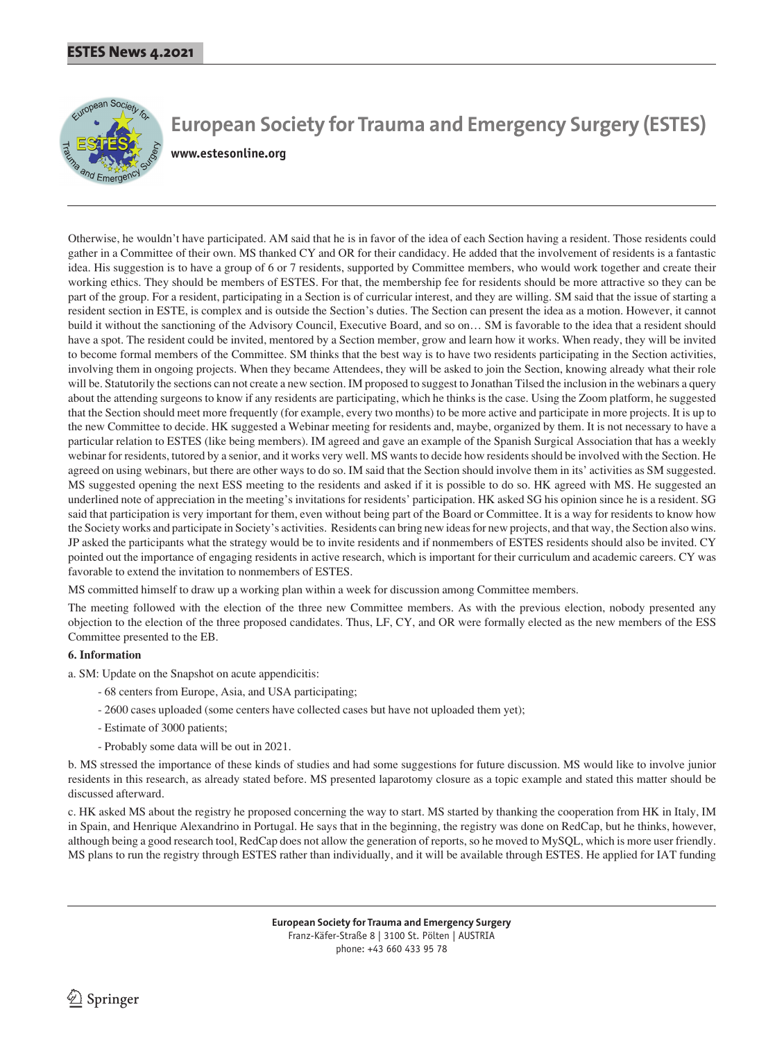

**www.estesonline.org**

Otherwise, he wouldn't have participated. AM said that he is in favor of the idea of each Section having a resident. Those residents could gather in a Committee of their own. MS thanked CY and OR for their candidacy. He added that the involvement of residents is a fantastic idea. His suggestion is to have a group of 6 or 7 residents, supported by Committee members, who would work together and create their working ethics. They should be members of ESTES. For that, the membership fee for residents should be more attractive so they can be part of the group. For a resident, participating in a Section is of curricular interest, and they are willing. SM said that the issue of starting a resident section in ESTE, is complex and is outside the Section's duties. The Section can present the idea as a motion. However, it cannot build it without the sanctioning of the Advisory Council, Executive Board, and so on… SM is favorable to the idea that a resident should have a spot. The resident could be invited, mentored by a Section member, grow and learn how it works. When ready, they will be invited to become formal members of the Committee. SM thinks that the best way is to have two residents participating in the Section activities, involving them in ongoing projects. When they became Attendees, they will be asked to join the Section, knowing already what their role will be. Statutorily the sections can not create a new section. IM proposed to suggest to Jonathan Tilsed the inclusion in the webinars a query about the attending surgeons to know if any residents are participating, which he thinks is the case. Using the Zoom platform, he suggested that the Section should meet more frequently (for example, every two months) to be more active and participate in more projects. It is up to the new Committee to decide. HK suggested a Webinar meeting for residents and, maybe, organized by them. It is not necessary to have a particular relation to ESTES (like being members). IM agreed and gave an example of the Spanish Surgical Association that has a weekly webinar for residents, tutored by a senior, and it works very well. MS wants to decide how residents should be involved with the Section. He agreed on using webinars, but there are other ways to do so. IM said that the Section should involve them in its' activities as SM suggested. MS suggested opening the next ESS meeting to the residents and asked if it is possible to do so. HK agreed with MS. He suggested an underlined note of appreciation in the meeting's invitations for residents' participation. HK asked SG his opinion since he is a resident. SG said that participation is very important for them, even without being part of the Board or Committee. It is a way for residents to know how the Society works and participate in Society's activities. Residents can bring new ideas for new projects, and that way, the Section also wins. JP asked the participants what the strategy would be to invite residents and if nonmembers of ESTES residents should also be invited. CY pointed out the importance of engaging residents in active research, which is important for their curriculum and academic careers. CY was favorable to extend the invitation to nonmembers of ESTES.

MS committed himself to draw up a working plan within a week for discussion among Committee members.

The meeting followed with the election of the three new Committee members. As with the previous election, nobody presented any objection to the election of the three proposed candidates. Thus, LF, CY, and OR were formally elected as the new members of the ESS Committee presented to the EB.

#### **6. Information**

a. SM: Update on the Snapshot on acute appendicitis:

- 68 centers from Europe, Asia, and USA participating;
- 2600 cases uploaded (some centers have collected cases but have not uploaded them yet);
- Estimate of 3000 patients;
- Probably some data will be out in 2021.

b. MS stressed the importance of these kinds of studies and had some suggestions for future discussion. MS would like to involve junior residents in this research, as already stated before. MS presented laparotomy closure as a topic example and stated this matter should be discussed afterward.

c. HK asked MS about the registry he proposed concerning the way to start. MS started by thanking the cooperation from HK in Italy, IM in Spain, and Henrique Alexandrino in Portugal. He says that in the beginning, the registry was done on RedCap, but he thinks, however, although being a good research tool, RedCap does not allow the generation of reports, so he moved to MySQL, which is more user friendly. MS plans to run the registry through ESTES rather than individually, and it will be available through ESTES. He applied for IAT funding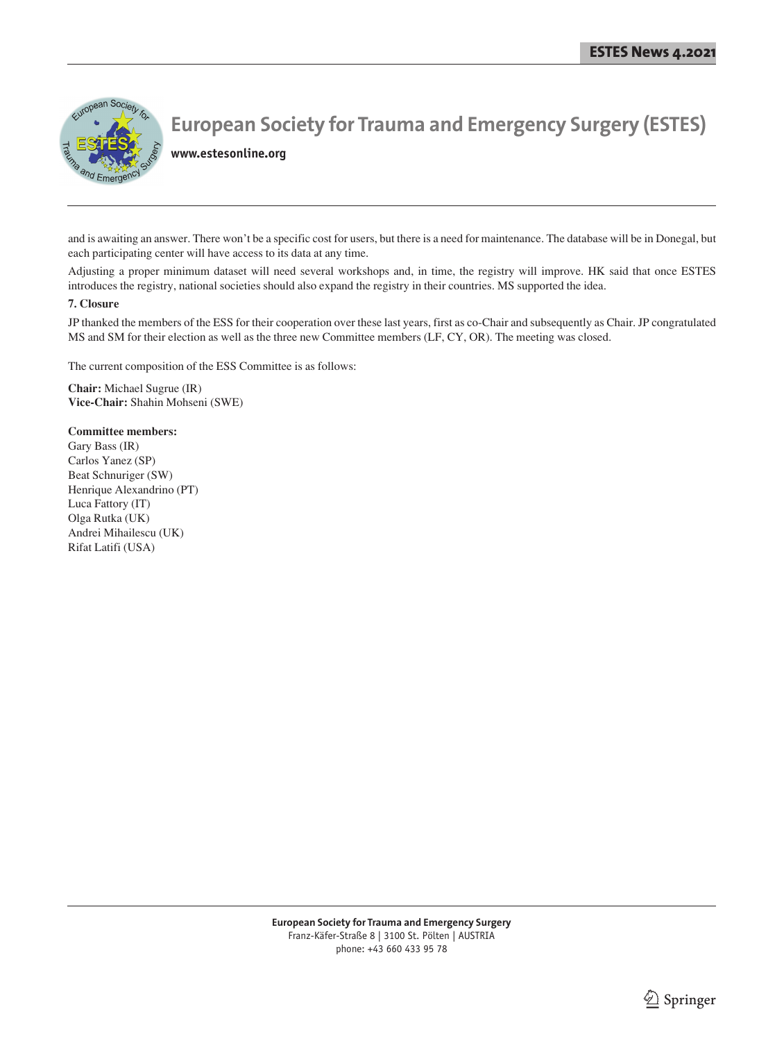

**www.estesonline.org**

and is awaiting an answer. There won't be a specific cost for users, but there is a need for maintenance. The database will be in Donegal, but each participating center will have access to its data at any time.

Adjusting a proper minimum dataset will need several workshops and, in time, the registry will improve. HK said that once ESTES introduces the registry, national societies should also expand the registry in their countries. MS supported the idea.

#### **7. Closure**

JP thanked the members of the ESS for their cooperation over these last years, first as co-Chair and subsequently as Chair. JP congratulated MS and SM for their election as well as the three new Committee members (LF, CY, OR). The meeting was closed.

The current composition of the ESS Committee is as follows:

**Chair:** Michael Sugrue (IR) **Vice-Chair:** Shahin Mohseni (SWE)

#### **Committee members:**

Gary Bass (IR) Carlos Yanez (SP) Beat Schnuriger (SW) Henrique Alexandrino (PT) Luca Fattory (IT) Olga Rutka (UK) Andrei Mihailescu (UK) Rifat Latifi (USA)

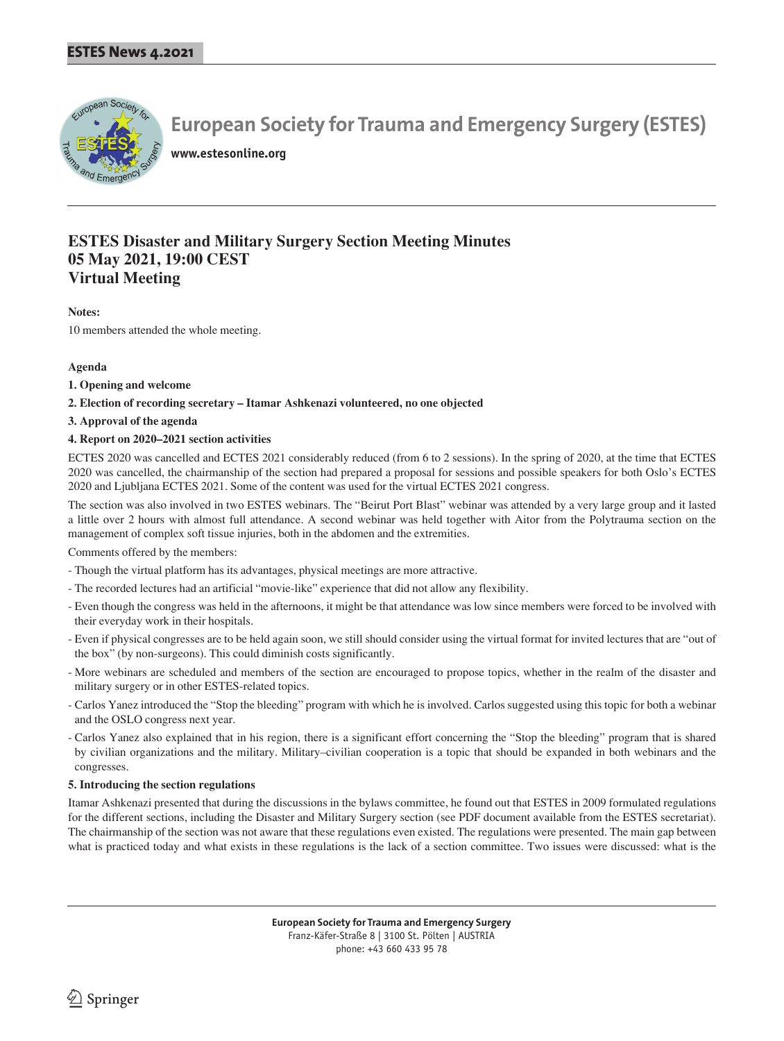

**www.estesonline.org**

## **ESTES Disaster and Military Surgery Section Meeting Minutes 05 May 2021, 19:00 CEST Virtual Meeting**

#### **Notes:**

10 members attended the whole meeting.

#### **Agenda**

- **1. Opening and welcome**
- **2. Election of recording secretary Itamar Ashkenazi volunteered, no one objected**
- **3. Approval of the agenda**

#### **4. Report on 2020–2021 section activities**

ECTES 2020 was cancelled and ECTES 2021 considerably reduced (from 6 to 2 sessions). In the spring of 2020, at the time that ECTES 2020 was cancelled, the chairmanship of the section had prepared a proposal for sessions and possible speakers for both Oslo's ECTES 2020 and Ljubljana ECTES 2021. Some of the content was used for the virtual ECTES 2021 congress.

The section was also involved in two ESTES webinars. The "Beirut Port Blast" webinar was attended by a very large group and it lasted a little over 2 hours with almost full attendance. A second webinar was held together with Aitor from the Polytrauma section on the management of complex soft tissue injuries, both in the abdomen and the extremities.

Comments offered by the members:

- Though the virtual platform has its advantages, physical meetings are more attractive.
- The recorded lectures had an artificial "movie-like" experience that did not allow any flexibility.
- Even though the congress was held in the afternoons, it might be that attendance was low since members were forced to be involved with their everyday work in their hospitals.
- Even if physical congresses are to be held again soon, we still should consider using the virtual format for invited lectures that are "out of the box" (by non-surgeons). This could diminish costs significantly.
- More webinars are scheduled and members of the section are encouraged to propose topics, whether in the realm of the disaster and military surgery or in other ESTES-related topics.
- Carlos Yanez introduced the "Stop the bleeding" program with which he is involved. Carlos suggested using this topic for both a webinar and the OSLO congress next year.
- Carlos Yanez also explained that in his region, there is a significant effort concerning the "Stop the bleeding" program that is shared by civilian organizations and the military. Military–civilian cooperation is a topic that should be expanded in both webinars and the congresses.

#### **5. Introducing the section regulations**

Itamar Ashkenazi presented that during the discussions in the bylaws committee, he found out that ESTES in 2009 formulated regulations for the different sections, including the Disaster and Military Surgery section (see PDF document available from the ESTES secretariat). The chairmanship of the section was not aware that these regulations even existed. The regulations were presented. The main gap between what is practiced today and what exists in these regulations is the lack of a section committee. Two issues were discussed: what is the

> **European Society for Trauma and Emergency Surgery** Franz-Käfer-Straße 8 | 3100 St. Pölten | AUSTRIA phone: +43 660 433 95 78

 $\textcircled{2}$  Springer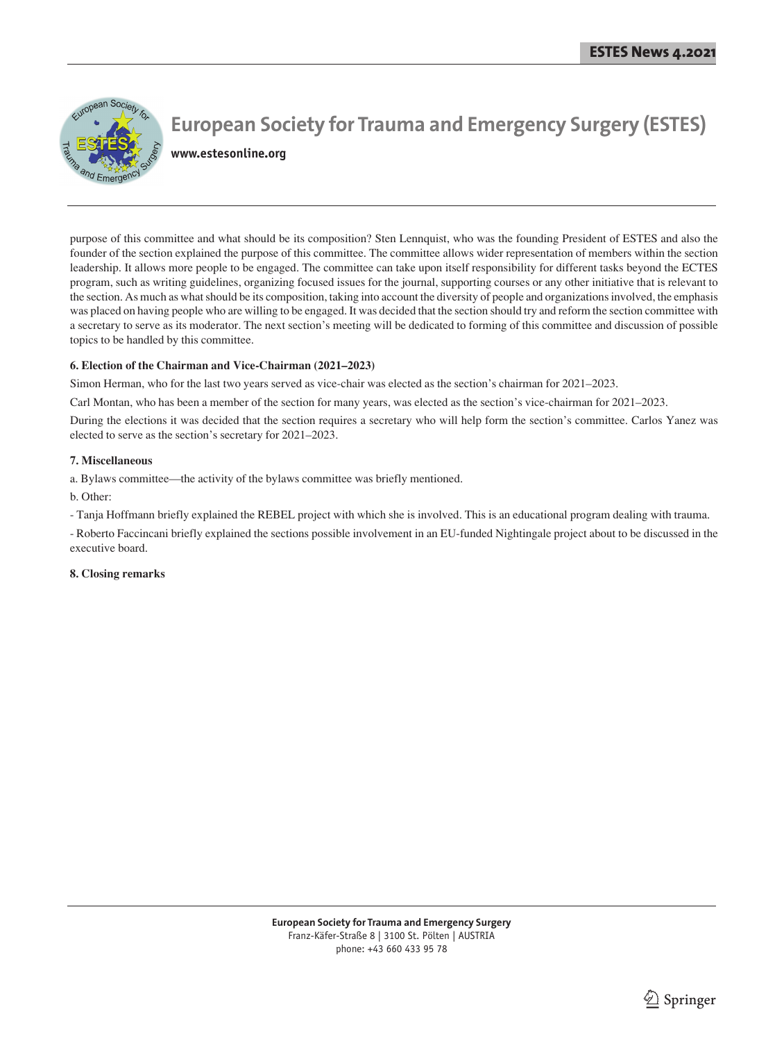

**www.estesonline.org**

purpose of this committee and what should be its composition? Sten Lennquist, who was the founding President of ESTES and also the founder of the section explained the purpose of this committee. The committee allows wider representation of members within the section leadership. It allows more people to be engaged. The committee can take upon itself responsibility for different tasks beyond the ECTES program, such as writing guidelines, organizing focused issues for the journal, supporting courses or any other initiative that is relevant to the section. As much as what should be its composition, taking into account the diversity of people and organizations involved, the emphasis was placed on having people who are willing to be engaged. It was decided that the section should try and reform the section committee with a secretary to serve as its moderator. The next section's meeting will be dedicated to forming of this committee and discussion of possible topics to be handled by this committee.

#### **6. Election of the Chairman and Vice-Chairman (2021–2023)**

Simon Herman, who for the last two years served as vice-chair was elected as the section's chairman for 2021–2023.

Carl Montan, who has been a member of the section for many years, was elected as the section's vice-chairman for 2021–2023.

During the elections it was decided that the section requires a secretary who will help form the section's committee. Carlos Yanez was elected to serve as the section's secretary for 2021–2023.

#### **7. Miscellaneous**

a. Bylaws committee—the activity of the bylaws committee was briefly mentioned.

b. Other:

- Tanja Hoffmann briefly explained the REBEL project with which she is involved. This is an educational program dealing with trauma.

- Roberto Faccincani briefly explained the sections possible involvement in an EU-funded Nightingale project about to be discussed in the executive board.

#### **8. Closing remarks**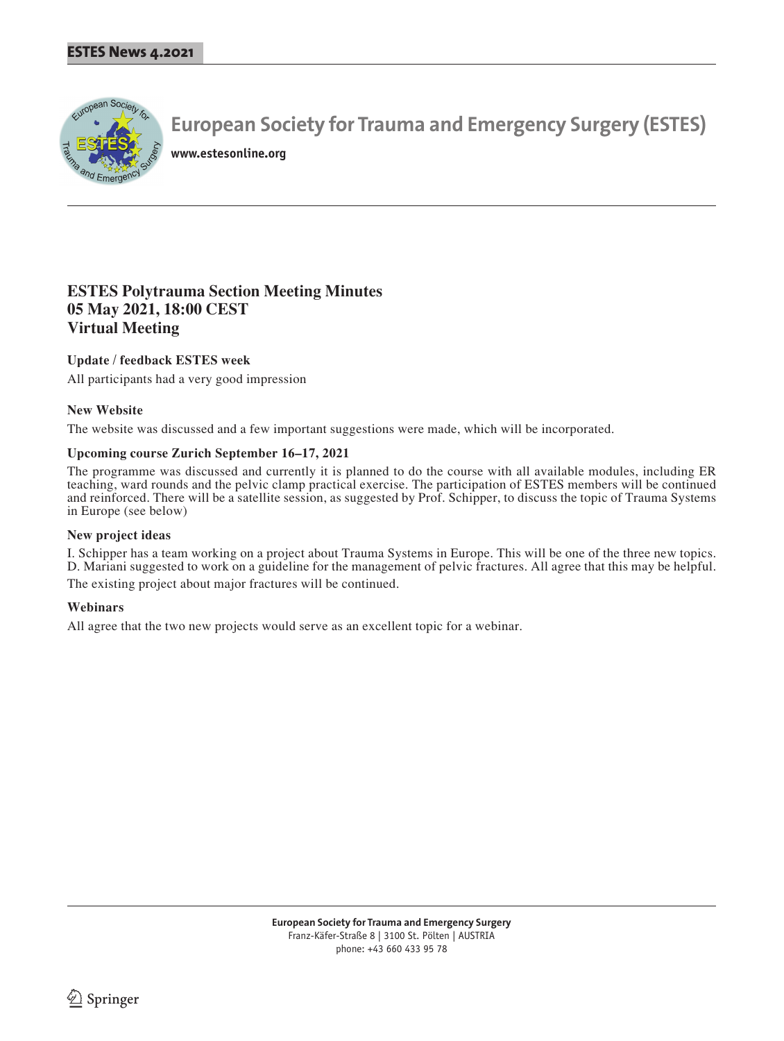

**www.estesonline.org**

### **ESTES Polytrauma Section Meeting Minutes 05 May 2021, 18:00 CEST Virtual Meeting**

#### **Update / feedback ESTES week**

All participants had a very good impression

#### **New Website**

The website was discussed and a few important suggestions were made, which will be incorporated.

#### **Upcoming course Zurich September 16–17, 2021**

The programme was discussed and currently it is planned to do the course with all available modules, including ER teaching, ward rounds and the pelvic clamp practical exercise. The participation of ESTES members will be continued and reinforced. There will be a satellite session, as suggested by Prof. Schipper, to discuss the topic of Trauma Systems in Europe (see below)

#### **New project ideas**

I. Schipper has a team working on a project about Trauma Systems in Europe. This will be one of the three new topics. D. Mariani suggested to work on a guideline for the management of pelvic fractures. All agree that this may be helpful. The existing project about major fractures will be continued.

#### **Webinars**

All agree that the two new projects would serve as an excellent topic for a webinar.